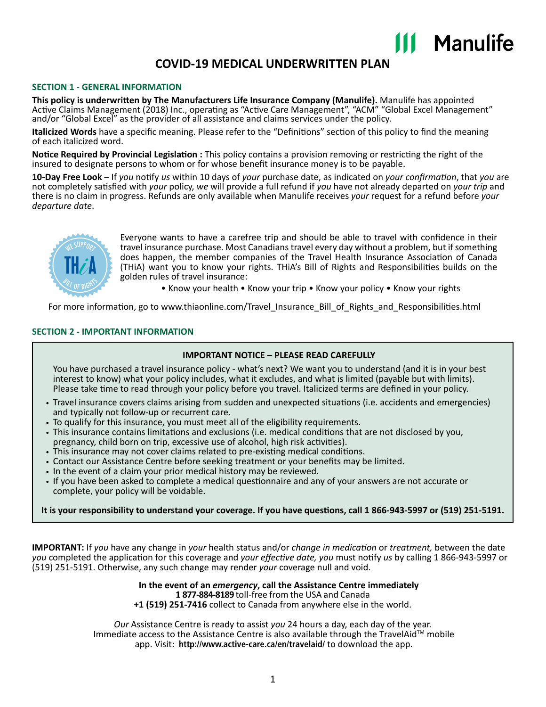

# **COVID-19 MEDICAL UNDERWRITTEN PLAN**

#### **SECTION 1 - GENERAL INFORMATION**

**This policy is underwritten by The Manufacturers Life Insurance Company (Manulife).** Manulife has appointed Active Claims Management (2018) Inc., operating as "Active Care Management", "ACM" "Global Excel Management" and/or "Global Excel" as the provider of all assistance and claims services under the policy.

**Italicized Words** have a specific meaning. Please refer to the "Definitions" section of this policy to find the meaning of each italicized word.

**Notice Required by Provincial Legislation :** This policy contains a provision removing or restricting the right of the insured to designate persons to whom or for whose benefit insurance money is to be payable.

**10-Day Free Look** – If *you* notify *us* within 10 days of *your* purchase date, as indicated on *your confirmation*, that *you* are not completely satisfied with *your* policy, *we* will provide a full refund if *you* have not already departed on *your trip* and there is no claim in progress. Refunds are only available when Manulife receives *your* request for a refund before *your departure date*.



Everyone wants to have a carefree trip and should be able to travel with confidence in their travel insurance purchase. Most Canadians travel every day without a problem, but if something does happen, the member companies of the Travel Health Insurance Association of Canada (THiA) want you to know your rights. THiA's Bill of Rights and Responsibilities builds on the golden rules of travel insurance:

• Know your health • Know your trip • Know your policy • Know your rights

For more information, go to [www.thiaonline.com/Travel\\_Insurance\\_Bill\\_of\\_Rights\\_and\\_Responsibilities.html](www.thiaonline.com/Travel_Insurance_Bill_of_Rights_and_Responsibilities.html)

#### **SECTION 2 - IMPORTANT INFORMATION**

#### **IMPORTANT NOTICE – PLEASE READ CAREFULLY**

You have purchased a travel insurance policy - what's next? We want you to understand (and it is in your best interest to know) what your policy includes, what it excludes, and what is limited (payable but with limits). Please take time to read through your policy before you travel. Italicized terms are defined in your policy.

- Travel insurance covers claims arising from sudden and unexpected situations (i.e. accidents and emergencies) and typically not follow-up or recurrent care.
- To qualify for this insurance, you must meet all of the eligibility requirements.
- This insurance contains limitations and exclusions (i.e. medical conditions that are not disclosed by you, pregnancy, child born on trip, excessive use of alcohol, high risk activities).
- This insurance may not cover claims related to pre-existing medical conditions.
- Contact our Assistance Centre before seeking treatment or your benefits may be limited.
- In the event of a claim your prior medical history may be reviewed.
- If you have been asked to complete a medical questionnaire and any of your answers are not accurate or complete, your policy will be voidable.

**It is your responsibility to understand your coverage. If you have questions, call 1 866-943-5997 or (519) 251‑5191.**

**IMPORTANT:** If *you* have any change in *your* health status and/or *change in medication* or *treatment,* between the date *you* completed the application for this coverage and *your effective date, you* must notify *us* by calling 1 866-943-5997 or (519) 251‑5191. Otherwise, any such change may render *your* coverage null and void.

#### **In the event of an** *emergency***, call the Assistance Centre immediately**

**1 877-884-8189** toll-free from the USA and Canada

**+1 (519) 251-7416** collect to Canada from anywhere else in the world.

*Our* Assistance Centre is ready to assist *you* 24 hours a day, each day of the year. Immediate access to the Assistance Centre is also available through the TravelAid™ mobile app. Visit: **<http://www.active-care.ca/en/travelaid/>** to download the app.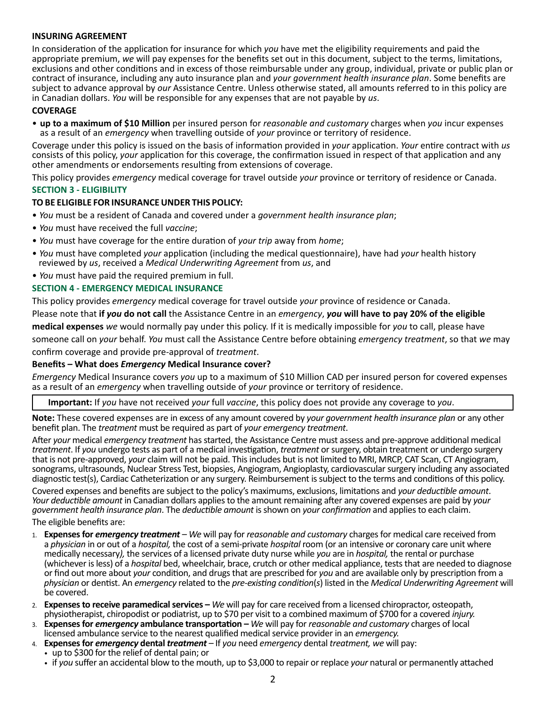#### **INSURING AGREEMENT**

In consideration of the application for insurance for which *you* have met the eligibility requirements and paid the appropriate premium, *we* will pay expenses for the benefits set out in this document, subject to the terms, limitations, exclusions and other conditions and in excess of those reimbursable under any group, individual, private or public plan or contract of insurance, including any auto insurance plan and *your government health insurance plan*. Some benefits are subject to advance approval by *our* Assistance Centre. Unless otherwise stated, all amounts referred to in this policy are in Canadian dollars. *You* will be responsible for any expenses that are not payable by *us*.

#### **COVERAGE**

• **up to a maximum of \$10 Million** per insured person for *reasonable and customary* charges when *you* incur expenses as a result of an *emergency* when travelling outside of *your* province or territory of residence.

Coverage under this policy is issued on the basis of information provided in *your* application. *Your* entire contract with *us* consists of this policy, *your* application for this coverage, the confirmation issued in respect of that application and any other amendments or endorsements resulting from extensions of coverage.

This policy provides *emergency* medical coverage for travel outside *your* province or territory of residence or Canada. **SECTION 3 - ELIGIBILITY**

#### **TO BE ELIGIBLE FOR INSURANCE UNDER THIS POLICY:**

- *You* must be a resident of Canada and covered under a *government health insurance plan*;
- *You* must have received the full *vaccine*;
- *You* must have coverage for the entire duration of *your trip* away from *home*;
- *You* must have completed *your* application (including the medical questionnaire), have had *your* health history reviewed by *us*, received a *Medical Underwriting Agreement* from *us*, and
- *You* must have paid the required premium in full.

#### **SECTION 4 - EMERGENCY MEDICAL INSURANCE**

This policy provides *emergency* medical coverage for travel outside *your* province of residence or Canada.

Please note that **if** *you* **do not call** the Assistance Centre in an *emergency*, *you* **will have to pay 20% of the eligible medical expenses** *we* would normally pay under this policy. If it is medically impossible for *you* to call, please have someone call on *your* behalf. *You* must call the Assistance Centre before obtaining *emergency treatment*, so that *we* may confirm coverage and provide pre-approval of *treatment*.

### **Benefits – What does** *Emergency* **Medical Insurance cover?**

*Emergency* Medical Insurance covers *you* up to a maximum of \$10 Million CAD per insured person for covered expenses as a result of an *emergency* when travelling outside of *your* province or territory of residence.

**Important:** If *you* have not received *your* full *vaccine*, this policy does not provide any coverage to *you*.

**Note:** These covered expenses are in excess of any amount covered by *your government health insurance plan* or any other benefit plan. The *treatment* must be required as part of *your emergency treatment*.

After *your* medical *emergency treatment* has started, the Assistance Centre must assess and pre-approve additional medical *treatment*. If *you* undergo tests as part of a medical investigation, *treatment* or surgery, obtain treatment or undergo surgery that is not pre-approved, *your* claim will not be paid. This includes but is not limited to MRI, MRCP, CAT Scan, CT Angiogram, sonograms, ultrasounds, Nuclear Stress Test, biopsies, Angiogram, Angioplasty, cardiovascular surgery including any associated diagnostic test(s), Cardiac Catheterization or any surgery. Reimbursement is subject to the terms and conditions of this policy.

Covered expenses and benefits are subject to the policy's maximums, exclusions, limitations and your deductible amount.<br>Your deductible amount in Canadian dollars applies to the amount remaining after any covered expenses *government health insurance plan*. The *deductible amount* is shown on *your confirmation* and applies to each claim.

The eligible benefits are:

- 1. **Expenses for** *emergency treatment We* will pay for *reasonable and customary* charges for medical care received from a *physician* in or out of a *hospital,* the cost of a semi-private *hospital* room (or an intensive or coronary care unit where medically necessary*),* the services of a licensed private duty nurse while *you* are in *hospital,* the rental or purchase (whichever is less) of a *hospital* bed, wheelchair, brace, crutch or other medical appliance, tests that are needed to diagnose or find out more about *your* condition, and drugs that are prescribed for *you* and are available only by prescription from a *physician* or dentist. An *emergency* related to the *pre-existing condition*(*s*) listed in the *Medical Underwriting Agreement* will be covered.
- 2. **Expenses to receive paramedical services** *We* will pay for care received from a licensed chiropractor, osteopath, physiotherapist, chiropodist or podiatrist, up to \$70 per visit to a combined maximum of \$700 for a covered *injury.*
- 3. **Expenses for** *emergency* **ambulance transportation** *We* will pay for *reasonable and customary* charges of local licensed ambulance service to the nearest qualified medical service provider in an *emergency.*
- 4. **Expenses for** *emergency* **dental** *treatment* If *you* need *emergency* dental *treatment, we* will pay:
	- up to \$300 for the relief of dental pain; or
	- if *you* suffer an accidental blow to the mouth, up to \$3,000 to repair or replace *your* natural or permanently attached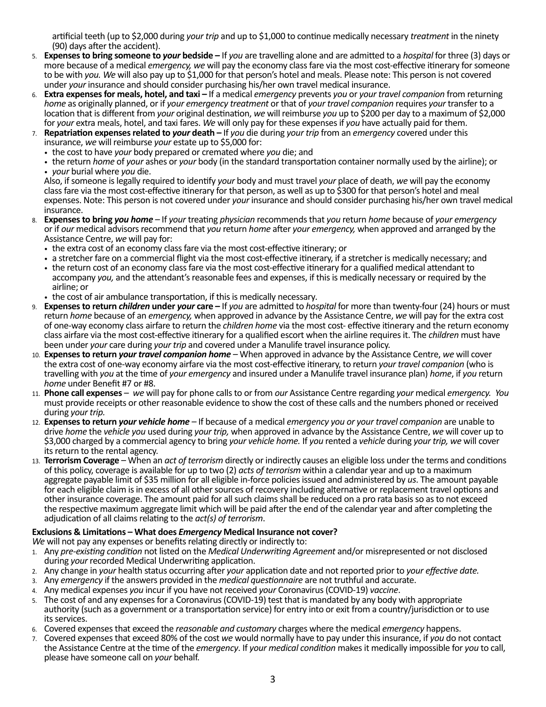artificial teeth (up to \$2,000 during *your trip* and up to \$1,000 to continue medically necessary *treatment* in the ninety (90) days after the accident).

- 5. **Expenses to bring someone to** *your* **bedside** If *you* are travelling alone and are admitted to a *hospital* for three (3) days or more because of a medical *emergency, we* will pay the economy class fare via the most cost-effective itinerary for someone to be with *you. We* will also pay up to \$1,000 for that person's hotel and meals. Please note: This person is not covered under *your* insurance and should consider purchasing his/her own travel medical insurance.
- 6. **Extra expenses for meals, hotel, and taxi** If a medical *emergency* prevents *you* or *your travel companion* from returning *home* as originally planned, or if *your emergency treatment* or that of *your travel companion* requires *your* transfer to a location that is different from *your* original destination, *we* will reimburse *you* up to \$200 per day to a maximum of \$2,000 for *your* extra meals, hotel, and taxi fares. *We* will only pay for these expenses if *you* have actually paid for them.
- 7. **Repatriation expenses related to** *your* **death** If *you* die during *your trip* from an *emergency* covered under this insurance, *we* will reimburse *your* estate up to \$5,000 for:
	- the cost to have *your* body prepared or cremated where *you* die; and
	- the return *home* of *your* ashes or *your* body (in the standard transportation container normally used by the airline); or • *your* burial where *you* die.

Also, if someone is legally required to identify *your* body and must travel *your* place of death, *we* will pay the economy class fare via the most cost-effective itinerary for that person, as well as up to \$300 for that person's hotel and meal expenses. Note: This person is not covered under *your* insurance and should consider purchasing his/her own travel medical insurance.

- 8. **Expenses to bring** *you home* If *your* treating *physician* recommends that *you* return *home* because of *your emergency*  or if *our* medical advisors recommend that *you* return *home* after *your emergency,* when approved and arranged by the Assistance Centre, *we* will pay for:
	- the extra cost of an economy class fare via the most cost-effective itinerary; or
	- a stretcher fare on a commercial flight via the most cost-effective itinerary, if a stretcher is medically necessary; and
	- the return cost of an economy class fare via the most cost-effective itinerary for a qualified medical attendant to accompany *you,* and the attendant's reasonable fees and expenses, if this is medically necessary or required by the airline; or
	- the cost of air ambulance transportation, if this is medically necessary*.*
- 9. **Expenses to return** *children* **under** *your* **care** If *you* are admitted to *hospital* for more than twenty-four (24) hours or must return *home* because of an *emergency,* when approved in advance by the Assistance Centre, *we* will pay for the extra cost of one-way economy class airfare to return the *children home* via the most cost- effective itinerary and the return economy class airfare via the most cost-effective itinerary for a qualified escort when the airline requires it. The *children* must have been under *your* care during *your trip* and covered under a Manulife travel insurance policy.
- 10. **Expenses to return** *your travel companion home* When approved in advance by the Assistance Centre, *we* will cover the extra cost of one-way economy airfare via the most cost-effective itinerary, to return *your travel companion* (who is travelling with *you* at the time of *your emergency* and insured under a Manulife travel insurance plan) *home*, if *you* return *home* under Benefit #7 or #8.
- 11. **Phone call expenses**  *we* will pay for phone calls to or from *our* Assistance Centre regarding *your* medical *emergency. You*  must provide receipts or other reasonable evidence to show the cost of these calls and the numbers phoned or received during *your trip.*
- 12. **Expenses to return** *your vehicle home* If because of a medical *emergency you or your travel companion* are unable to drive *home* the *vehicle you* used during *your trip,* when approved in advance by the Assistance Centre, *we* will cover up to \$3,000 charged by a commercial agency to bring *your vehicle home.* If *you* rented a *vehicle* during *your trip, we* will cover its return to the rental agency.
- 13. **Terrorism Coverage** When an *act of terrorism* directly or indirectly causes an eligible loss under the terms and conditions of this policy, coverage is available for up to two (2) *acts of terrorism* within a calendar year and up to a maximum aggregate payable limit of \$35 million for all eligible in-force policies issued and administered by *us*. The amount payable for each eligible claim is in excess of all other sources of recovery including alternative or replacement travel options and other insurance coverage. The amount paid for all such claims shall be reduced on a pro rata basis so as to not exceed the respective maximum aggregate limit which will be paid after the end of the calendar year and after completing the adjudication of all claims relating to the *act(s) of terrorism*.

#### **Exclusions & Limitations – What does** *Emergency* **Medical Insurance not cover?**

- *We* will not pay any expenses or benefits relating directly or indirectly to:
- 1. Any *pre-existing condition* not listed on the *Medical Underwriting Agreement* and/or misrepresented or not disclosed during *your* recorded Medical Underwriting application.
- 2. Any change in *your* health status occurring after *your* application date and not reported prior to *your effective date.*
- 3. Any *emergency* if the answers provided in the *medical questionnaire* are not truthful and accurate.
- 
- 5. The cost of and any expenses for a Coronavirus (COVID-19) test that is mandated by any body with appropriate authority (such as a government or a transportation service) for entry into or exit from a country/jurisdiction or to use its services.
- 6. Covered expensesthat exceed the *reasonable and customary* charges where the medical *emergency* happens.
- 7. Covered expensesthat exceed 80% of the cost *we* would normally have to pay under this insurance, if *you* do not contact the Assistance Centre at the time of the *emergency*. If *your medical condition* makes it medically impossible for *you* to call, please have someone call on *your* behalf.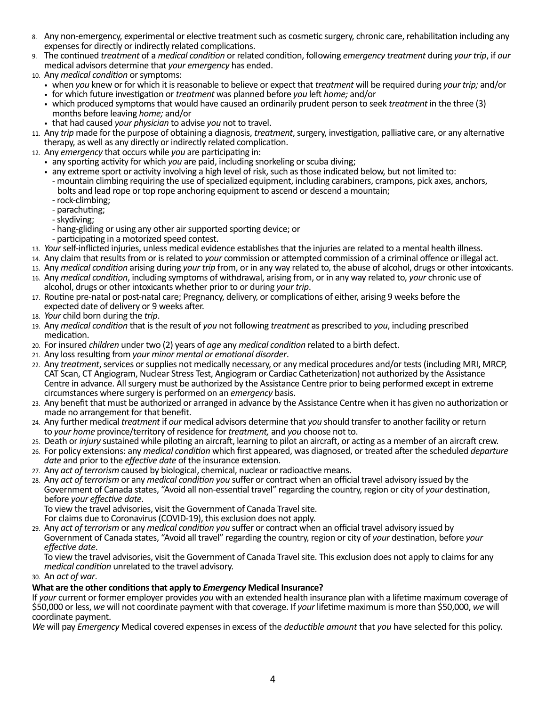- 8. Any non-emergency, experimental or elective treatment such as cosmetic surgery, chronic care, rehabilitation including any expenses for directly or indirectly related complications.
- 9. The continued *treatment* of a *medical condition* or related condition, following *emergency treatment* during *your trip*, if *our* medical advisors determine that *your emergency* has ended.
- 10. Any *medical condition* or symptoms:
	- when *you* knew or for which it is reasonable to believe or expect that *treatment* will be required during *your trip;* and/or
	- for which future investigation or *treatment* was planned before *you* left *home;* and/or
	- which produced symptoms that would have caused an ordinarily prudent person to seek *treatment* in the three (3) months before leaving *home;* and/or
	- that had caused *your physician* to advise *you* not to travel.
- 11. Any *trip* made for the purpose of obtaining a diagnosis, *treatment*, surgery, investigation, palliative care, or any alternative therapy, as well as any directly or indirectly related complication.
- 12. Any *emergency* that occurs while *you* are participating in:
	- any sporting activity for which *you* are paid, including snorkeling or scuba diving;
	- any extreme sport or activity involving a high level of risk, such as those indicated below, but not limited to:
		- mountain climbing requiring the use of specialized equipment, including carabiners, crampons, pick axes, anchors, bolts and lead rope or top rope anchoring equipment to ascend or descend a mountain; - rock-climbing;
		-
		- parachuting;
		- -skydiving;
		- hang-gliding or using any other air supported sporting device; or
		- participating in a motorized speed contest.
- 13. *Your* self-inflicted injuries, unless medical evidence establishes that the injuries are related to a mental health illness.
- 14. Any claim that results from or is related to *your* commission or attempted commission of a criminal offence or illegal act.
- 15. Any *medical condition* arising during *your trip* from, or in any way related to, the abuse of alcohol, drugs or other intoxicants.
- 16. Any *medical condition*, including symptoms of withdrawal, arising from, or in any way related to, *your* chronic use of alcohol, drugs or other intoxicants whether prior to or during *your trip*.
- 17. Routine pre-natal or post-natal care; Pregnancy, delivery, or complications of either, arising 9 weeks before the expected date of delivery or 9 weeks after.
- 18. *Your* child born during the *trip*.
- 19. Any *medical condition* that is the result of *you* not following *treatment* as prescribed to *you*, including prescribed medication.
- 20. For insured *children* under two (2) years of *age* any *medical condition* related to a birth defect.
- 21. Any loss resulting from *your minor mental or emotional disorder*.
- 22. Any *treatment*, services or supplies not medically necessary, or any medical procedures and/or tests (including MRI, MRCP, CAT Scan, CT Angiogram, Nuclear Stress Test, Angiogram or Cardiac Catheterization) not authorized by the Assistance Centre in advance. All surgery must be authorized by the Assistance Centre prior to being performed except in extreme circumstances where surgery is performed on an *emergency* basis.
- 23. Any benefit that must be authorized or arranged in advance by the Assistance Centre when it has given no authorization or made no arrangement for that benefit.
- 24. Any further medical *treatment* if *our* medical advisors determine that *you* should transfer to another facility or return to *your home* province/territory of residence for *treatment,* and *you* choose not to.
- 25. Death or *injury* sustained while piloting an aircraft, learning to pilot an aircraft, or acting as a member of an aircraft crew.
- 26. For policy extensions: any *medical condition* which first appeared, was diagnosed, or treated after the scheduled *departure date* and prior to the *effective date* of the insurance extension.
- 27. Any *act of terrorism* caused by biological, chemical, nuclear or radioactive means.
- 28. Any *act of terrorism* or any *medical condition you* suffer or contract when an official travel advisory issued by the Government of Canada states, "Avoid all non-essential travel" regarding the country, region or city of *your* destination,

To view the travel advisories, visit the Government of Canada Travel site.

For claims due to Coronavirus (COVID-19), this exclusion does not apply.

29. Any *act of terrorism* or any *medical condition you* suffer or contract when an official travel advisory issued by

effective date.<br>To view the travel advisories, visit the Government of Canada Travel site. This exclusion does not apply to claims for any *medical condition* unrelated to the travel advisory.

30. An *act of war*.

#### **What are the other conditions that apply to** *Emergency* **Medical Insurance?**

If *your* current or former employer provides *you* with an extended health insurance plan with a lifetime maximum coverage of \$50,000 or less, *we* will not coordinate payment with that coverage. If *your* lifetime maximum is more than \$50,000, *we* will coordinate payment.

*We* will pay *Emergency* Medical covered expenses in excess of the *deductible amount* that *you* have selected for this policy.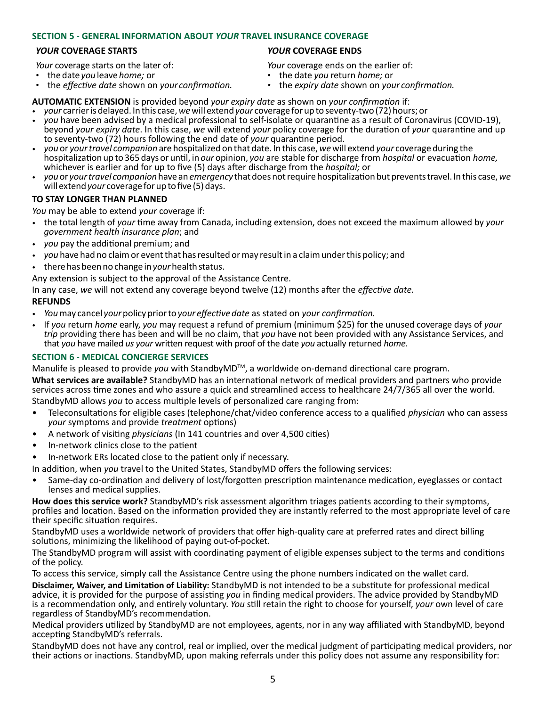#### **SECTION 5 - GENERAL INFORMATION ABOUT** *YOUR* **TRAVEL INSURANCE COVERAGE**

#### *YOUR* **COVERAGE STARTS** *YOUR* **COVERAGE ENDS**

*Your* coverage starts on the later of:

- the date *you* leave *home;* or
- the *effective date* shown on *your confirmation.*

*Your* coverage ends on the earlier of:

- the date *you* return *home;* or
- *•* the *expiry date* shown on *your confirmation.*
- **AUTOMATIC EXTENSION** is provided beyond *your expiry date* as shown on *your confirmation* if:
- *your* carrier is delayed. In this case, *we* will extend *your* coverage for up to seventy-two (72) hours; or
	- *you* have been advised by a medical professional to self-isolate or quarantine as a result of Coronavirus (COVID-19), beyond *your expiry date*. In this case, *we* will extend *your* policy coverage for the duration of *your* quarantine and up to seventy-two (72) hours following the end date of *your* quarantine period.
	- *you* or *your travel companion* are hospitalized on that date. In this case, *we* will extend *your* coverage during the hospitalization up to 365 days or until, in *our* opinion, *you* are stable for discharge from *hospital* or evacuation *home,* whichever is earlier and for up to five (5) days after discharge from the *hospital;* or
	- *you* or *your travel companion* have an *emergency* that does not require hospitalization but prevents travel. In this case, *we*  will extend *your* coverage for up to five (5) days.

## **TO STAY LONGER THAN PLANNED**

*You* may be able to extend *your* coverage if:

- the total length of *your* time away from Canada, including extension, does not exceed the maximum allowed by *your government health insurance plan*; and
- *you* pay the additional premium; and
- *you* have had no claim or event that has resulted or may result in a claim under this policy; and
- there has been no change in *your* health status.
- Any extension is subject to the approval of the Assistance Centre.

In any case, *we* will not extend any coverage beyond twelve (12) months after the *effective date.*

#### **REFUNDS**

- *You* may cancel *your* policy prior to *your effective date* as stated on *your confirmation.*
- If *you* return *home* early, *you* may request a refund of premium (minimum \$25) for the unused coverage days of *your trip* providing there has been and will be no claim, that *you* have not been provided with any Assistance Services, and that *you* have mailed *us your* written request with proof of the date *you* actually returned *home.*

### **SECTION 6 - MEDICAL CONCIERGE SERVICES**

Manulife is pleased to provide *you* with StandbyMD<sup>™</sup>, a worldwide on-demand directional care program.

**What services are available?** StandbyMD has an international network of medical providers and partners who provide services across time zones and who assure a quick and streamlined access to healthcare 24/7/365 all over the world. StandbyMD allows *you* to access multiple levels of personalized care ranging from:

- Teleconsultations for eligible cases (telephone/chat/video conference access to a qualified *physician* who can assess *your* symptoms and provide *treatment* options)
- A network of visiting *physicians* (In 141 countries and over 4,500 cities)
- In-network clinics close to the patient
- In-network ERs located close to the patient only if necessary.
- In addition, when *you* travel to the United States, StandbyMD offers the following services:
- Same-day co-ordination and delivery of lost/forgotten prescription maintenance medication, eyeglasses or contact lenses and medical supplies.

**How does this service work?** StandbyMD's risk assessment algorithm triages patients according to their symptoms, profiles and location. Based on the information provided they are instantly referred to the most appropriate level of care their specific situation requires.

StandbyMD uses a worldwide network of providers that offer high-quality care at preferred rates and direct billing solutions, minimizing the likelihood of paying out-of-pocket.

The StandbyMD program will assist with coordinating payment of eligible expenses subject to the terms and conditions of the policy.

To access this service, simply call the Assistance Centre using the phone numbers indicated on the wallet card.

**Disclaimer, Waiver, and Limitation of Liability:** StandbyMD is not intended to be a substitute for professional medical advice, it is provided for the purpose of assisting *you* in finding medical providers. The advice provided by StandbyMD is a recommendation only, and entirely voluntary. *You* still retain the right to choose for yourself, *your* own level of care regardless of StandbyMD's recommendation.

Medical providers utilized by StandbyMD are not employees, agents, nor in any way affiliated with StandbyMD, beyond accepting StandbyMD's referrals.

StandbyMD does not have any control, real or implied, over the medical judgment of participating medical providers, nor their actions or inactions. StandbyMD, upon making referrals under this policy does not assume any responsibility for: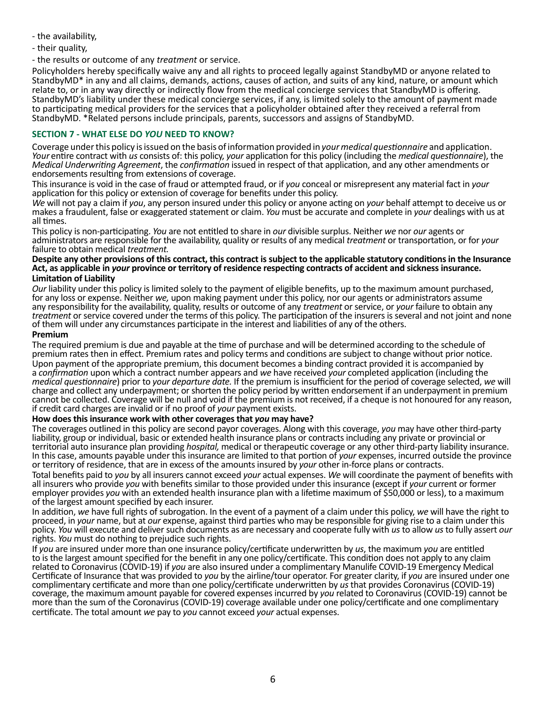- the availability,
- their quality,
- the results or outcome of any *treatment* or service.

Policyholders hereby specifically waive any and all rights to proceed legally against StandbyMD or anyone related to StandbyMD\* in any and all claims, demands, actions, causes of action, and suits of any kind, nature, or amount which relate to, or in any way directly or indirectly flow from the medical concierge services that StandbyMD is offering. StandbyMD's liability under these medical concierge services, if any, is limited solely to the amount of payment made to participating medical providers for the services that a policyholder obtained after they received a referral from StandbyMD. \*Related persons include principals, parents, successors and assigns of StandbyMD.

#### **SECTION 7 - WHAT ELSE DO** *YOU* **NEED TO KNOW?**

Coverage under this policy is issued on the basis of information provided in *your medical questionnaire* and application. *Your* entire contract with *us* consists of: this policy, *your* application for this policy (including the *medical questionnaire*), the *Medical Underwriting Agreement*, the *confirmation* issued in respect of that application, and any other amendments or endorsements resulting from extensions of coverage.

This insurance is void in the case of fraud or attempted fraud, or if you conceal or misrepresent any material fact in your application for this policy or extension of coverage for benefits under this policy.

*We* will not pay a claim if *you*, any person insured under this policy or anyone acting on *your* behalf attempt to deceive us or makes a fraudulent, false or exaggerated statement or claim. *You* must be accurate and complete in *your* dealings with us at all times.

This policy is non-participating. *You* are not entitled to share in *our* divisible surplus. Neither *we* nor *our* agents or administrators are responsible for the availability, quality or results of any medical *treatment* or transportation, or for *your*  failure to obtain medical *treatment.*

#### **Despite any other provisions of this contract, this contract is subject to the applicable statutory conditions in the Insurance Act, as applicable in** *your* **province or territory of residence respecting contracts of accident and sickness insurance. Limitation of Liability**

*Our* liability under this policy is limited solely to the payment of eligible benefits, up to the maximum amount purchased, for any loss or expense. Neither *we,* upon making payment under this policy, nor our agents or administrators assume any responsibility for the availability, quality, results or outcome of any *treatment* or service, or *your* failure to obtain any *treatment* or service covered under the terms of this policy. The participation of the insurers is several and not joint and none of them will under any circumstances participate in the interest and liabilities of any of the others.

#### **Premium**

The required premium is due and payable at the time of purchase and will be determined according to the schedule of premium rates then in effect. Premium rates and policy terms and conditions are subject to change without prior notice. Upon payment of the appropriate premium, this document becomes a binding contract provided it is accompanied by a *confirmation* upon which a contract number appears and *we* have received *your* completed application (including the *medical questionnaire*) prior to *your departure date.* If the premium is insufficient for the period of coverage selected, *we* will charge and collect any underpayment; or shorten the policy period by written endorsement if an underpayment in premium cannot be collected. Coverage will be null and void if the premium is not received, if a cheque is not honoured for any reason, if credit card charges are invalid or if no proof of *your* payment exists.

#### **How does this insurance work with other coverages that** *you* **may have?**

The coverages outlined in this policy are second payor coverages. Along with this coverage, *you* may have other third-party liability, group or individual, basic or extended health insurance plans or contracts including any private or provincial or territorial auto insurance plan providing *hospital,* medical or therapeutic coverage or any other third-party liability insurance. In this case, amounts payable under this insurance are limited to that portion of *your* expenses, incurred outside the province or territory of residence, that are in excess of the amounts insured by *your* other in-force plans or contracts.

Total benefits paid to *you* by all insurers cannot exceed *your* actual expenses. *We* will coordinate the payment of benefits with all insurers who provide *you* with benefits similar to those provided under this insurance (except if *your* current or former employer provides *you* with an extended health insurance plan with a lifetime maximum of \$50,000 or less), to a maximum of the largest amount specified by each insurer.

In addition, *we* have full rights of subrogation. In the event of a payment of a claim under this policy, *we* will have the right to proceed, in *your* name, but at *our* expense, against third parties who may be responsible for giving rise to a claim under this policy. *You* will execute and deliver such documents as are necessary and cooperate fully with *us* to allow *us* to fully assert *our*  rights. *You* must do nothing to prejudice such rights.

If *you* are insured under more than one insurance policy/certificate underwritten by *us*, the maximum *you* are entitled to is the largest amount specified for the benefit in any one policy/certificate. This condition does not apply to any claim related to Coronavirus (COVID-19) if *you* are also insured under a complimentary Manulife COVID-19 Emergency Medical Certificate of Insurance that was provided to *you* by the airline/tour operator. For greater clarity, if *you* are insured under one complimentary certificate and more than one policy/certificate underwritten by *us* that provides Coronavirus (COVID-19) coverage, the maximum amount payable for covered expenses incurred by *you* related to Coronavirus (COVID-19) cannot be more than the sum of the Coronavirus (COVID-19) coverage available under one policy/certificate and one complimentary certificate. The total amount *we* pay to *you* cannot exceed *your* actual expenses.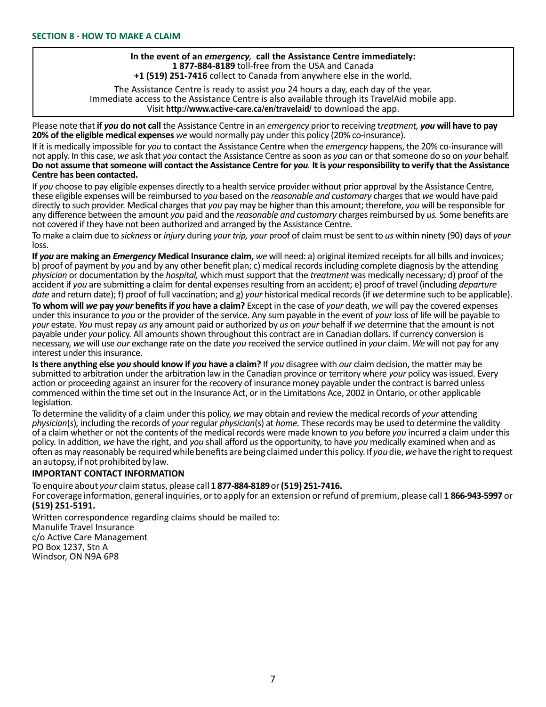#### **In the event of an** *emergency,* **call the Assistance Centre immediately: 1 877-884-8189** toll-free from the USA and Canada **+1 (519) 251-7416** collect to Canada from anywhere else in the world.

The Assistance Centre is ready to assist *you* 24 hours a day, each day of the year. Immediate access to the Assistance Centre is also available through its TravelAid mobile app. Visit **<http://www.active-care.ca/en/travelaid/>** to download the app.

Please note that **if** *you* **do not call** the Assistance Centre in an *emergency* prior to receiving t*reatment, you* **will have to pay 20% of the eligible medical expenses** *we* would normally pay under this policy (20% co-insurance).

If it is medically impossible for *you* to contact the Assistance Centre when the *emergency* happens, the 20% co-insurance will not apply. In this case, *we* ask that *you* contact the Assistance Centre as soon as *you* can or that someone do so on *your* behalf. **Do not assume that someone will contact the Assistance Centre for** *you.* **It is** *your* **responsibility to verify that the Assistance Centre has been contacted.**

If *you* choose to pay eligible expenses directly to a health service provider without prior approval by the Assistance Centre, these eligible expenses will be reimbursed to *you* based on the *reasonable and customary* chargesthat *we* would have paid directly to such provider. Medical charges that *you* pay may be higher than this amount; therefore, *you* will be responsible for any difference between the amount *you* paid and the *reasonable and customary* chargesreimbursed by *us.* Some benefits are not covered if they have not been authorized and arranged by the Assistance Centre.

To make a claim due to *sickness* or *injury* during *your trip, your* proof of claim must be sent to *us* within ninety (90) days of *your*  loss.

**If** *you* **are making an** *Emergency* **Medical Insurance claim,** *we* will need: a) original itemized receipts for all bills and invoices; b) proof of payment by *you* and by any other benefit plan; c) medical records including complete diagnosis by the attending *physician* or documentation by the *hospital,* which must support that the *treatment* was medically necessary*;* d) proof of the accident if *you* are submitting a claim for dental expenses resulting from an accident; e) proof of travel (including *departure date* and return date); f) proof of full vaccination; and g) *your* historical medical records (if *we* determine such to be applicable).

**To whom will** *we* **pay** *your* **benefits if** *you* **have a claim?** Except in the case of *your* death, *we* will pay the covered expenses under this insurance to *you* or the provider of the service. Any sum payable in the event of *your* loss of life will be payable to *your* estate*. You* must repay *us* any amount paid or authorized by *us* on *your* behalf if *we* determine that the amount is not payable under *your* policy. All amounts shown throughout this contract are in Canadian dollars. If currency conversion is necessary, *we* will use *our* exchange rate on the date *you* received the service outlined in *your* claim. *We* will not pay for any interest under this insurance.

**Is there anything else** *you* **should know if** *you* **have a claim?** If *you* disagree with *our* claim decision, the matter may be submitted to arbitration under the arbitration law in the Canadian province or territory where *your* policy was issued. Every action or proceeding against an insurer for the recovery of insurance money payable under the contract is barred unless commenced within the time set out in the Insurance Act, or in the Limitations Ace, 2002 in Ontario, or other applicable legislation.

To determine the validity of a claim under this policy, *we* may obtain and review the medical records of *your* attending *physician*(*s*)*,* including the records of *your* regular *physician*(s) at *home.* These records may be used to determine the validity of a claim whether or not the contents of the medical records were made known to *you* before *you* incurred a claim under this policy. In addition, *we* have the right, and *you* shall afford *us* the opportunity, to have *you* medically examined when and as often as may reasonably be required while benefits are being claimed under this policy. If *you* die, *we* have the right to request an autopsy, if not prohibited by law.

#### **IMPORTANT CONTACT INFORMATION**

To enquire about *your* claim status, please call **1 877-884-8189** or **(519) 251-7416.** 

For coverage information, general inquiries, or to apply for an extension or refund of premium, please call **1 866-943-5997** or **(519) 251-5191.**

Written correspondence regarding claims should be mailed to: Manulife Travel Insurance c/o Active Care Management PO Box 1237, Stn A Windsor, ON N9A 6P8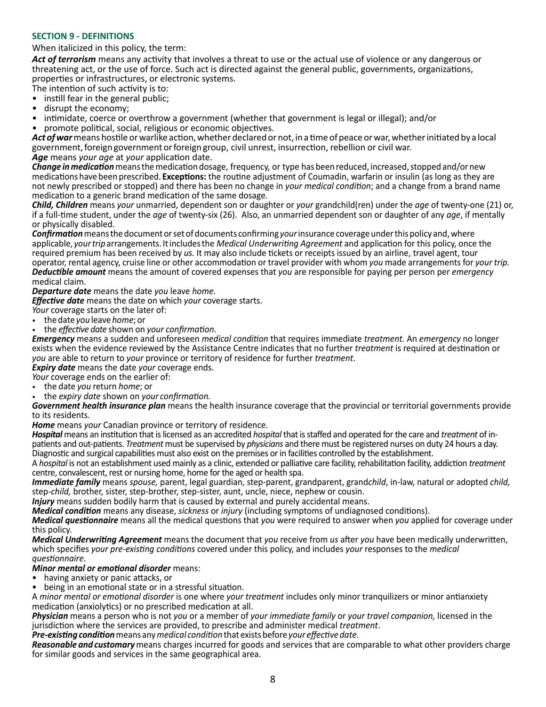#### **SECTION 9 - DEFINITIONS**

When italicized in this policy, the term:

*Act of terrorism* means any activity that involves a threat to use or the actual use of violence or any dangerous or threatening act, or the use of force. Such act is directed against the general public, governments, organizations, properties or infrastructures, or electronic systems.

The intention of such activity is to:<br>• instill fear in the general public;

- 
- 
- disrupt the economy;<br>• intimidate, coerce or overthrow a government (whether that government is legal or illegal); and/or promote political, social, religious or economic objectives.
- 

*Act of war* means hostile or warlike action, whether declared or not, in a time of peace or war, whether initiated by a local government, foreign government or foreign group, civil unrest, insurrection, rebellion or civil war. *Age* means *your age* at *your* application date.

*Change in medication* means the medication dosage, frequency, or type has been reduced, increased, stopped and/or new medications have been prescribed. **Exceptions:** the routine adjustment of Coumadin, warfarin or insulin (as long as they are not newly prescribed or stopped) and there has been no change in *your medical condition*; and a change from a brand name medication to a generic brand medication of the same dosage.

*Child, Children* means *your* unmarried, dependent son or daughter or *your* grandchild(ren) under the *age* of twenty-one (21) or, if a full-time student, under the *age* of twenty-six (26). Also, an unmarried dependent son or daughter of any *age*, if mentally or physically disabled.

*Confirmation* means the document or set of documents confirming *your* insurance coverage under this policy and, where applicable, *your trip* arrangements. It includes the *Medical Underwriting Agreement* and application for this policy, once the required premium has been received by *us.* It may also include tickets or receipts issued by an airline, travel agent, tour operator, rental agency, cruise line or other accommodation or travel provider with whom *you* made arrangements for *your trip. Deductible amount* means the amount of covered expenses that *you* are responsible for paying per person per *emergency* medical claim.

*Departure date* means the date *you* leave *home.*

*Effective date* means the date on which *your* coverage starts.

*Your* coverage starts on the later of:

- the date *you* leave *home*; or
- the *effective date* shown on *your confirmation*.

*Emergency* means a sudden and unforeseen *medical condition* that requires immediate *treatment.* An *emergency* no longer exists when the evidence reviewed by the Assistance Centre indicates that no further *treatment* is required at destination or *you* are able to return to *your* province or territory of residence for further *treatment*.

*Expiry date* means the date *your* coverage ends.

*Your* coverage ends on the earlier of:

- the date *you* return *home*; or
- the *expiry date* shown on *your confirmation.*

*Government health insurance plan* means the health insurance coverage that the provincial or territorial governments provide to its residents.

*Home* means *your* Canadian province or territory of residence.

*Hospital* means an institution that is licensed as an accredited *hospital* that is staffed and operated for the care and *treatment* of inpatients and out-patients. *Treatment* must be supervised by *physicians* and there must be registered nurses on duty 24 hours a day. Diagnostic and surgical capabilities must also exist on the premises or in facilities controlled by the establishment.

A *hospital* is not an establishment used mainly as a clinic, extended or palliative care facility, rehabilitation facility, addiction *treatment* centre, convalescent, rest or nursing home, home for the aged or health spa.

*Immediate family* means *spouse,* parent, legal guardian, step-parent, grandparent, grand*child*, in-law, natural or adopted *child,* step-*child,* brother, sister, step-brother, step-sister, aunt, uncle, niece, nephew or cousin.

*Injury* means sudden bodily harm that is caused by external and purely accidental means.

*Medical condition* means any disease, *sickness* or *injury* (including symptoms of undiagnosed conditions).

*Medical questionnaire* means all the medical questions that *you* were required to answer when *you* applied for coverage under this policy.

*Medical Underwriting Agreement* means the document that *you* receive from *us* after *you* have been medically underwritten, which specifies *your pre-existing conditions* covered under this policy, and includes *your* responses to the *medical questionnaire*.

#### *Minor mental or emotional disorder* means:

- having anxiety or panic attacks, or
- being in an emotional state or in a stressful situation.

A *minor mental or emotional disorder* is one where *your treatment* includes only minor tranquilizers or minor antianxiety medication (anxiolytics) or no prescribed medication at all.

*Physician* means a person who is not *you* or a member of *your immediate family* or *your travel companion,* licensed in the jurisdiction where the services are provided, to prescribe and administer medical *treatment*.

*Pre-existing condition* means any *medical condition* that exists before *your effective date.* 

*Reasonable and customary* means charges incurred for goods and services that are comparable to what other providers charge for similar goods and services in the same geographical area.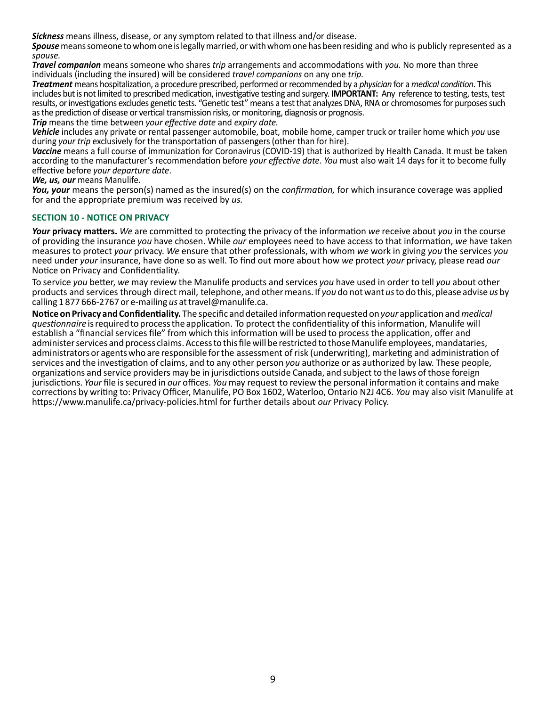*Sickness* means illness, disease, or any symptom related to that illness and/or disease.

*Spouse* means someone to whom one is legally married, or with whom one has been residing and who is publicly represented as a *spouse.*

*Travel companion* means someone who shares *trip* arrangements and accommodations with *you.* No more than three individuals (including the insured) will be considered *travel companions* on any one *trip.*

*Treatment* means hospitalization, a procedure prescribed, performed or recommended by a *physician* for a *medical condition*. This includes but is not limited to prescribed medication, investigative testing and surgery. **IMPORTANT:** Any reference to testing, tests, test results, or investigations excludes genetic tests. "Genetic test" means a test that analyzes DNA, RNA or chromosomes for purposes such as the prediction of disease or vertical transmission risks, or monitoring, diagnosis or prognosis.

*Trip* means the time between *your effective date* and *expiry date.*

*Vehicle* includes any private or rental passenger automobile, boat, mobile home, camper truck or trailer home which *you* use during *your trip* exclusively for the transportation of passengers (other than for hire).

*Vaccine* means a full course of immunization for Coronavirus (COVID-19) that is authorized by Health Canada. It must be taken according to the manufacturer's recommendation before *your effective date*. *You* must also wait 14 days for it to become fully effective before *your departure date*.

*We, us, our* means Manulife.

*You, your* means the person(s) named as the insured(s) on the *confirmation,* for which insurance coverage was applied for and the appropriate premium was received by *us.*

#### **SECTION 10 - NOTICE ON PRIVACY**

*Your* **privacy matters.** *We* are committed to protecting the privacy of the information *we* receive about *you* in the course of providing the insurance *you* have chosen. While *our* employees need to have access to that information, *we* have taken measures to protect *your* privacy. *We* ensure that other professionals, with whom *we* work in giving *you* the services *you*  need under *your* insurance, have done so as well. To find out more about how *we* protect *your* privacy, please read *our*  Notice on Privacy and Confidentiality.

To service *you* better, *we* may review the Manulife products and services *you* have used in order to tell *you* about other products and services through direct mail, telephone, and other means. If *you* do not want *us* to do this, please advise *us* by calling 1 877 666-2767 or e-mailing *us* at travel@manulife.ca.

**Notice on Privacy and Confidentiality.** The specific and detailed information requested on *your* application and *medical questionnaire* is required to process the application. To protect the confidentiality of this information, Manulife will establish a "financial services file" from which this information will be used to process the application, offer and administer services and process claims. Access to this file will be restricted to those Manulife employees, mandataries, administrators or agents who are responsible for the assessment of risk (underwriting), marketing and administration of services and the investigation of claims, and to any other person *you* authorize or as authorized by law. These people, organizations and service providers may be in jurisdictions outside Canada, and subject to the laws of those foreign jurisdictions. *Your* file is secured in *our* offices. *You* may request to review the personal information it contains and make corrections by writing to: Privacy Officer, Manulife, PO Box 1602, Waterloo, Ontario N2J 4C6. *You* may also visit Manulife at https://www.manulife.ca/privacy-policies.html for further details about *our* Privacy Policy.